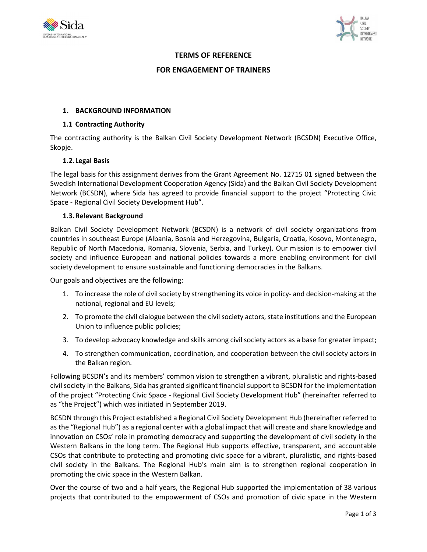



### **TERMS OF REFERENCE**

#### **FOR ENGAGEMENT OF TRAINERS**

### **1. BACKGROUND INFORMATION**

#### **1.1 Contracting Authority**

The contracting authority is the Balkan Civil Society Development Network (BCSDN) Executive Office, Skopje.

### **1.2.Legal Basis**

The legal basis for this assignment derives from the Grant Agreement No. 12715 01 signed between the Swedish International Development Cooperation Agency (Sida) and the Balkan Civil Society Development Network (BCSDN), where Sida has agreed to provide financial support to the project "Protecting Civic Space - Regional Civil Society Development Hub".

### **1.3.Relevant Background**

Balkan Civil Society Development Network (BCSDN) is a network of civil society organizations from countries in southeast Europe (Albania, Bosnia and Herzegovina, Bulgaria, Croatia, Kosovo, Montenegro, Republic of North Macedonia, Romania, Slovenia, Serbia, and Turkey). Our mission is to empower civil society and influence European and national policies towards a more enabling environment for civil society development to ensure sustainable and functioning democracies in the Balkans.

Our goals and objectives are the following:

- 1. To increase the role of civil society by strengthening its voice in policy- and decision-making at the national, regional and EU levels;
- 2. To promote the civil dialogue between the civil society actors, state institutions and the European Union to influence public policies;
- 3. To develop advocacy knowledge and skills among civil society actors as a base for greater impact;
- 4. To strengthen communication, coordination, and cooperation between the civil society actors in the Balkan region.

Following BCSDN's and its members' common vision to strengthen a vibrant, pluralistic and rights-based civil society in the Balkans, Sida has granted significant financial support to BCSDN for the implementation of the project "Protecting Civic Space - Regional Civil Society Development Hub" (hereinafter referred to as "the Project") which was initiated in September 2019.

BCSDN through this Project established a Regional Civil Society Development Hub (hereinafter referred to as the "Regional Hub") as a regional center with a global impact that will create and share knowledge and innovation on CSOs' role in promoting democracy and supporting the development of civil society in the Western Balkans in the long term. The Regional Hub supports effective, transparent, and accountable CSOs that contribute to protecting and promoting civic space for a vibrant, pluralistic, and rights-based civil society in the Balkans. The Regional Hub's main aim is to strengthen regional cooperation in promoting the civic space in the Western Balkan.

Over the course of two and a half years, the Regional Hub supported the implementation of 38 various projects that contributed to the empowerment of CSOs and promotion of civic space in the Western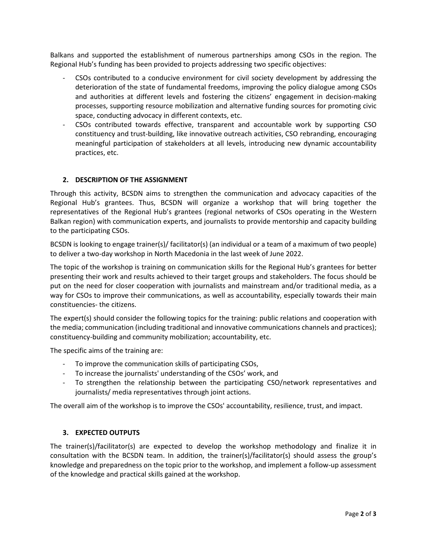Balkans and supported the establishment of numerous partnerships among CSOs in the region. The Regional Hub's funding has been provided to projects addressing two specific objectives:

- CSOs contributed to a conducive environment for civil society development by addressing the deterioration of the state of fundamental freedoms, improving the policy dialogue among CSOs and authorities at different levels and fostering the citizens' engagement in decision-making processes, supporting resource mobilization and alternative funding sources for promoting civic space, conducting advocacy in different contexts, etc.
- CSOs contributed towards effective, transparent and accountable work by supporting CSO constituency and trust-building, like innovative outreach activities, CSO rebranding, encouraging meaningful participation of stakeholders at all levels, introducing new dynamic accountability practices, etc.

# **2. DESCRIPTION OF THE ASSIGNMENT**

Through this activity, BCSDN aims to strengthen the communication and advocacy capacities of the Regional Hub's grantees. Thus, BCSDN will organize a workshop that will bring together the representatives of the Regional Hub's grantees (regional networks of CSOs operating in the Western Balkan region) with communication experts, and journalists to provide mentorship and capacity building to the participating CSOs.

BCSDN is looking to engage trainer(s)/ facilitator(s) (an individual or a team of a maximum of two people) to deliver a two-day workshop in North Macedonia in the last week of June 2022.

The topic of the workshop is training on communication skills for the Regional Hub's grantees for better presenting their work and results achieved to their target groups and stakeholders. The focus should be put on the need for closer cooperation with journalists and mainstream and/or traditional media, as a way for CSOs to improve their communications, as well as accountability, especially towards their main constituencies- the citizens.

The expert(s) should consider the following topics for the training: public relations and cooperation with the media; communication (including traditional and innovative communications channels and practices); constituency-building and community mobilization; accountability, etc.

The specific aims of the training are:

- To improve the communication skills of participating CSOs,
- To increase the journalists' understanding of the CSOs' work, and
- To strengthen the relationship between the participating CSO/network representatives and journalists/ media representatives through joint actions.

The overall aim of the workshop is to improve the CSOs' accountability, resilience, trust, and impact.

# **3. EXPECTED OUTPUTS**

The trainer(s)/facilitator(s) are expected to develop the workshop methodology and finalize it in consultation with the BCSDN team. In addition, the trainer(s)/facilitator(s) should assess the group's knowledge and preparedness on the topic prior to the workshop, and implement a follow-up assessment of the knowledge and practical skills gained at the workshop.